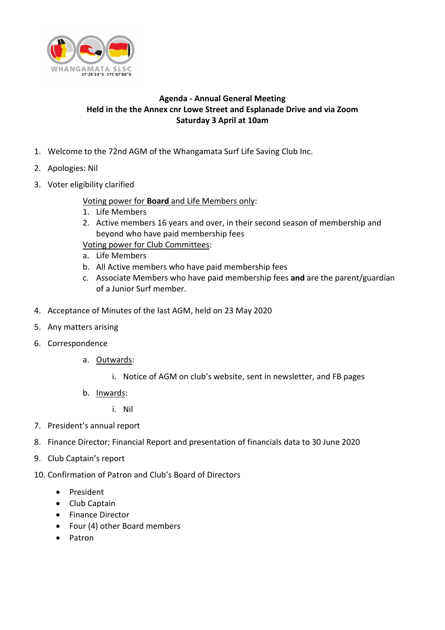

## **Agenda - Annual General Meeting Held in the the Annex cnr Lowe Street and Esplanade Drive and via Zoom Saturday 3 April at 10am**

- 1. Welcome to the 72nd AGM of the Whangamata Surf Life Saving Club Inc.
- 2. Apologies: Nil
- 3. Voter eligibility clarified

Voting power for **Board** and Life Members only:

- 1. Life Members
- 2. Active members 16 years and over, in their second season of membership and beyond who have paid membership fees

Voting power for Club Committees:

- a. Life Members
- b. All Active members who have paid membership fees
- c. Associate Members who have paid membership fees **and** are the parent/guardian of a Junior Surf member.
- 4. Acceptance of Minutes of the last AGM, held on 23 May 2020
- 5. Any matters arising
- 6. Correspondence
	- a. Outwards:
		- i. Notice of AGM on club's website, sent in newsletter, and FB pages
	- b. Inwards:
		- i. Nil
- 7. President's annual report
- 8. Finance Director; Financial Report and presentation of financials data to 30 June 2020
- 9. Club Captain's report
- 10. Confirmation of Patron and Club's Board of Directors
	- President
	- Club Captain
	- Finance Director
	- Four (4) other Board members
	- Patron